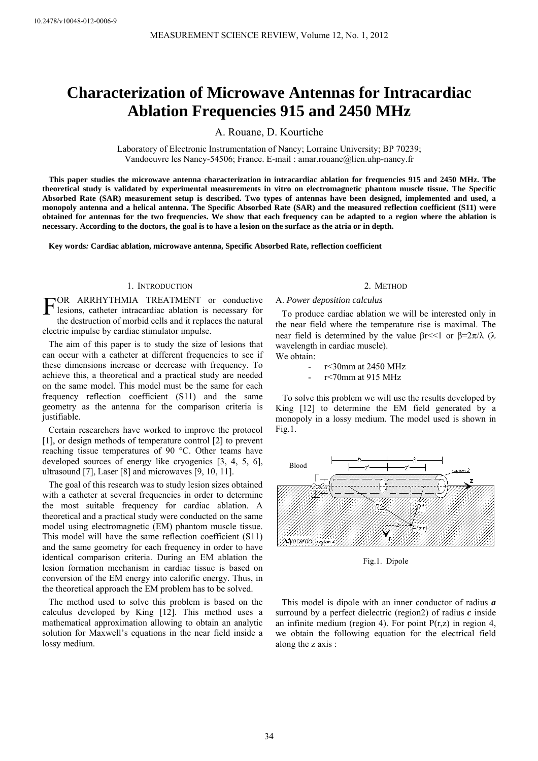# **Characterization of Microwave Antennas for Intracardiac Ablation Frequencies 915 and 2450 MHz**

A. Rouane, D. Kourtiche

Laboratory of Electronic Instrumentation of Nancy; Lorraine University; BP 70239; Vandoeuvre les Nancy-54506; France. E-mail : amar.rouane@lien.uhp-nancy.fr

**This paper studies the microwave antenna characterization in intracardiac ablation for frequencies 915 and 2450 MHz. The theoretical study is validated by experimental measurements in vitro on electromagnetic phantom muscle tissue. The Specific Absorbed Rate (SAR) measurement setup is described. Two types of antennas have been designed, implemented and used, a monopoly antenna and a helical antenna. The Specific Absorbed Rate (SAR) and the measured reflection coefficient (S11) were obtained for antennas for the two frequencies. We show that each frequency can be adapted to a region where the ablation is necessary. According to the doctors, the goal is to have a lesion on the surface as the atria or in depth.** 

**Key words***:* **Cardiac ablation, microwave antenna, Specific Absorbed Rate, reflection coefficient** 

## 1. INTRODUCTION

OR ARRHYTHMIA TREATMENT or conductive FOR ARRHYTHMIA TREATMENT or conductive lesions, catheter intracardiac ablation is necessary for the destruction of morbid cells and it replaces the natural electric impulse by cardiac stimulator impulse.

The aim of this paper is to study the size of lesions that can occur with a catheter at different frequencies to see if these dimensions increase or decrease with frequency. To achieve this, a theoretical and a practical study are needed on the same model. This model must be the same for each frequency reflection coefficient (S11) and the same geometry as the antenna for the comparison criteria is justifiable.

Certain researchers have worked to improve the protocol [1], or design methods of temperature control [2] to prevent reaching tissue temperatures of 90 °C. Other teams have developed sources of energy like cryogenics [3, 4, 5, 6], ultrasound [7], Laser [8] and microwaves [9, 10, 11].

The goal of this research was to study lesion sizes obtained with a catheter at several frequencies in order to determine the most suitable frequency for cardiac ablation. A theoretical and a practical study were conducted on the same model using electromagnetic (EM) phantom muscle tissue. This model will have the same reflection coefficient (S11) and the same geometry for each frequency in order to have identical comparison criteria. During an EM ablation the lesion formation mechanism in cardiac tissue is based on conversion of the EM energy into calorific energy. Thus, in the theoretical approach the EM problem has to be solved.

The method used to solve this problem is based on the calculus developed by King [12]. This method uses a mathematical approximation allowing to obtain an analytic solution for Maxwell's equations in the near field inside a lossy medium.

#### 2. METHOD

# A. *Power deposition calculus*

To produce cardiac ablation we will be interested only in the near field where the temperature rise is maximal. The near field is determined by the value βr <<1 or β=2π/λ (λ wavelength in cardiac muscle). We obtain:

- r < 30 mm at 2450 MHz
- r < 70mm at 915 MHz

 To solve this problem we will use the results developed by King [12] to determine the EM field generated by a monopoly in a lossy medium. The model used is shown in Fig.1.



Fig.1. Dipole

This model is dipole with an inner conductor of radius *a* surround by a perfect dielectric (region2) of radius *c* inside an infinite medium (region 4). For point  $P(r,z)$  in region 4, we obtain the following equation for the electrical field along the z axis :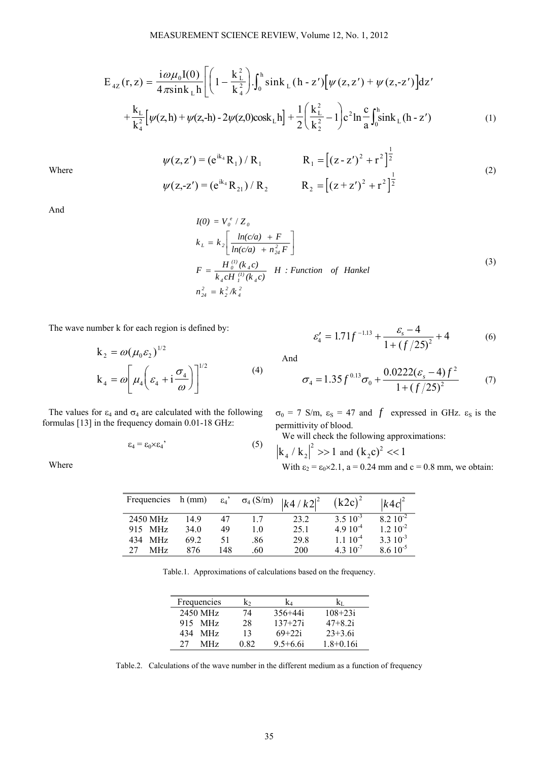$$
E_{4Z}(r,z) = \frac{i\omega\mu_0 I(0)}{4\pi sin k_L h} \left[ \left( 1 - \frac{k_L^2}{k_4^2} \right) \int_0^h \sin k_L (h - z') \left[ \psi(z, z') + \psi(z, -z') \right] dz' + \frac{k_L}{k_4^2} \left[ \psi(z, h) + \psi(z, -h) - 2\psi(z, 0) \cos k_L h \right] + \frac{1}{2} \left( \frac{k_L^2}{k_2^2} - 1 \right) e^2 \ln \frac{c}{a} \int_0^h \sin k_L (h - z') \tag{1}
$$

$$
\psi(z, z') = (e^{ik_4} R_1) / R_1 \qquad R_1 = [(z - z')^2 + r^2]^{\frac{1}{2}}
$$
  
\n
$$
\psi(z, -z') = (e^{ik_4} R_{21}) / R_2 \qquad R_2 = [(z + z')^2 + r^2]^{\frac{1}{2}}
$$
\n(2)

Where

And

Where

$$
I(0) = V_0^{\ e} / Z_0
$$
  
\n
$$
k_L = k_2 \left[ \frac{\ln(c/a) + F}{\ln(c/a) + n_{24}^2 F} \right]
$$
  
\n
$$
F = \frac{H_0^{(1)}(k_4 c)}{k_4 c H_1^{(1)}(k_4 c)} H : Function \ of \ Hankel
$$
  
\n
$$
n_{24}^2 = k_2^2 / k_4^2
$$
\n(3)

The wave number k for each region is defined by:

$$
k_2 = \omega(\mu_0 \varepsilon_2)^{1/2}
$$
  
\n
$$
k_4 = \omega \left[ \mu_4 \left( \varepsilon_4 + i \frac{\sigma_4}{\omega} \right) \right]^{1/2}
$$
 (4)

The values for  $\varepsilon_4$  and  $\sigma_4$  are calculated with the following formulas [13] in the frequency domain 0.01-18 GHz:

$$
\varepsilon_4 = \varepsilon_0 \times \varepsilon_4 \tag{5}
$$

$$
\varepsilon_4' = 1.71f^{-1.13} + \frac{\varepsilon_s - 4}{1 + (f/25)^2} + 4
$$
 (6)

And

$$
\sigma_4 = 1.35 f^{0.13} \sigma_0 + \frac{0.0222(\varepsilon_s - 4)f^2}{1 + (f/25)^2} \tag{7}
$$

 $\sigma_0$  = 7 S/m,  $\varepsilon_s$  = 47 and *f* expressed in GHz.  $\varepsilon_s$  is the permittivity of blood.

We will check the following approximations:

$$
k_4 / k_2 |^2 >> 1
$$
 and  $(k_2 c)^2 < 1$   
With  $\epsilon_2 = \epsilon_0 \times 2.1$ , a = 0.24 mm and c = 0.8 mm, we obtain:

| Frequencies | $h$ (mm) |     |     | $\epsilon_4$ ' σ <sub>4</sub> (S/m) $\left  k \frac{4}{k^2} \right ^2$ | $(k2c)^2$            | $ k4c ^2$            |
|-------------|----------|-----|-----|------------------------------------------------------------------------|----------------------|----------------------|
| 2450 MHz    | 149      | 47  | 17  | 23.2                                                                   | $3.5 \times 10^{-3}$ | $8.2 \times 10^{-2}$ |
| 915 MHz     | 34 Q     | 49  | 10  | 25.1                                                                   | $4.910^{-4}$         | $1.2 \times 10^{-2}$ |
| 434 MHz     | 69 2     | 51  | .86 | 29.8                                                                   | $1110^{-4}$          | $3.3 \times 10^{-3}$ |
| MHz         | 876      | 148 | .60 | 200                                                                    | $4.3 \times 10^{-7}$ | $8.610^{-5}$         |

Table.1. Approximations of calculations based on the frequency.

| Frequencies       | k۰   | k4           |             |
|-------------------|------|--------------|-------------|
| 2450 MHz          | 74   | $356 + 44i$  | $108 + 23i$ |
| 915 MHz           | 28   | $137 + 27i$  | $47 + 82i$  |
| <b>MHz</b><br>434 | 13   | $69 + 22i$   | $23 + 3.6i$ |
| 27<br>MHz.        | 0.82 | $9.5 + 6.6i$ | $1.8+0.16i$ |

Table.2. Calculations of the wave number in the different medium as a function of frequency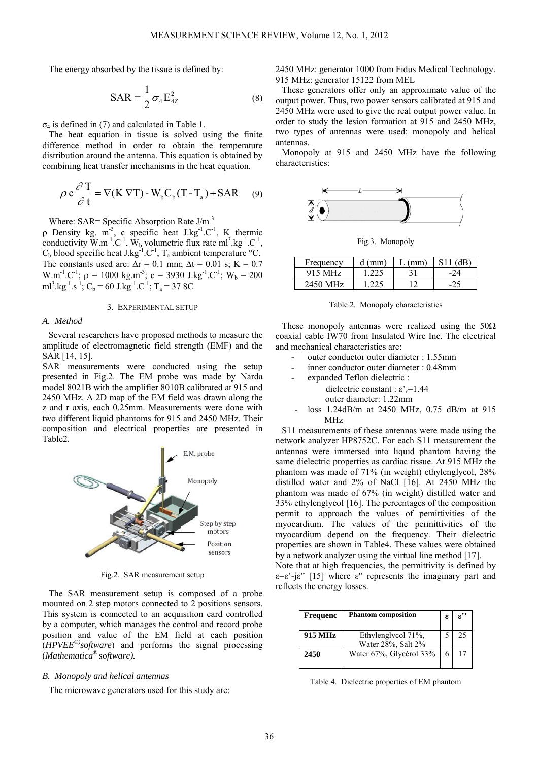The energy absorbed by the tissue is defined by:

$$
SAR = \frac{1}{2}\sigma_4 E_{4Z}^2
$$
 (8)

 $σ<sub>4</sub>$  is defined in (7) and calculated in Table 1.

The heat equation in tissue is solved using the finite difference method in order to obtain the temperature distribution around the antenna. This equation is obtained by combining heat transfer mechanisms in the heat equation.

$$
\rho c \frac{\partial T}{\partial t} = \nabla (K \nabla T) - W_b C_b (T - T_a) + SAR \quad (9)
$$

Where: SAR= Specific Absorption Rate J/m<sup>-3</sup>

ρ Density kg. m<sup>-3</sup>, c specific heat J.kg<sup>-1</sup>.C<sup>-1</sup>, K thermic conductivity  $W.m^{-1}.C^{-1}$ ,  $W_b$  volumetric flux rate  $ml^3.kg^{-1}.C^{-1}$ , C<sub>b</sub> blood specific heat J.kg<sup>-1</sup>.C<sup>-1</sup>, T<sub>a</sub> ambient temperature °C. The constants used are:  $\Delta r = 0.1$  mm;  $\Delta t = 0.01$  s;  $K = 0.7$ W.m<sup>-1</sup>.C<sup>-1</sup>;  $\rho = 1000 \text{ kg.m}^{-3}$ ; c = 3930 J.kg<sup>-1</sup>.C<sup>-1</sup>; W<sub>b</sub> = 200  $ml<sup>3</sup>.kg<sup>-1</sup>.s<sup>-1</sup>; C<sub>b</sub> = 60 J.kg<sup>-1</sup>.C<sup>-1</sup>; T<sub>a</sub> = 37 8C$ 

## 3. EXPERIMENTAL SETUP

# *A. Method*

Several researchers have proposed methods to measure the amplitude of electromagnetic field strength (EMF) and the SAR [14, 15].

SAR measurements were conducted using the setup presented in Fig.2. The EM probe was made by Narda model 8021B with the amplifier 8010B calibrated at 915 and 2450 MHz. A 2D map of the EM field was drawn along the z and r axis, each 0.25mm. Measurements were done with two different liquid phantoms for 915 and 2450 MHz. Their composition and electrical properties are presented in Table2.



Fig.2. SAR measurement setup

The SAR measurement setup is composed of a probe mounted on 2 step motors connected to 2 positions sensors. This system is connected to an acquisition card controlled by a computer, which manages the control and record probe position and value of the EM field at each position (*HPVEE®)software*) and performs the signal processing (*Mathematica*® so*ftware).* 

#### *B. Monopoly and helical antennas*

The microwave generators used for this study are:

2450 MHz: generator 1000 from Fidus Medical Technology. 915 MHz: generator 15122 from MEL

These generators offer only an approximate value of the output power. Thus, two power sensors calibrated at 915 and 2450 MHz were used to give the real output power value. In order to study the lesion formation at 915 and 2450 MHz, two types of antennas were used: monopoly and helical antennas.

Monopoly at 915 and 2450 MHz have the following characteristics:



Fig.3. Monopoly

| Frequency | $d$ (mm) | (mm) | ∴dB⊥ |
|-----------|----------|------|------|
| 915 MHz   | -225     |      | -24  |
| 2450 MHz  | つつち      |      |      |

Table 2. Monopoly characteristics

These monopoly antennas were realized using the  $50\Omega$ coaxial cable IW70 from Insulated Wire Inc. The electrical and mechanical characteristics are:

- outer conductor outer diameter : 1.55mm
- inner conductor outer diameter : 0.48mm
	- expanded Teflon dielectric :
		- dielectric constant :  $\varepsilon$ <sup>-</sup><sub>r</sub>=1.44
		- outer diameter: 1.22mm
- loss 1.24dB/m at 2450 MHz, 0.75 dB/m at 915 MHz

S11 measurements of these antennas were made using the network analyzer HP8752C. For each S11 measurement the antennas were immersed into liquid phantom having the same dielectric properties as cardiac tissue. At 915 MHz the phantom was made of 71% (in weight) ethylenglycol, 28% distilled water and 2% of NaCl [16]. At 2450 MHz the phantom was made of 67% (in weight) distilled water and 33% ethylenglycol [16]. The percentages of the composition permit to approach the values of pemittivities of the myocardium. The values of the permittivities of the myocardium depend on the frequency. Their dielectric properties are shown in Table4. These values were obtained by a network analyzer using the virtual line method [17].

Note that at high frequencies, the permittivity is defined by  $\epsilon = \epsilon'$ - $\epsilon$ " [15] where  $\epsilon$ " represents the imaginary part and reflects the energy losses.

| <b>Frequenc</b> | <b>Phantom composition</b> | ε | $\varepsilon$ '' |
|-----------------|----------------------------|---|------------------|
| 915 MHz         | Ethylenglycol 71%,         |   | 25               |
|                 | Water 28%, Salt 2%         |   |                  |
| 2450            | Water 67%, Glycérol 33%    | 6 | 17               |
|                 |                            |   |                  |

Table 4. Dielectric properties of EM phantom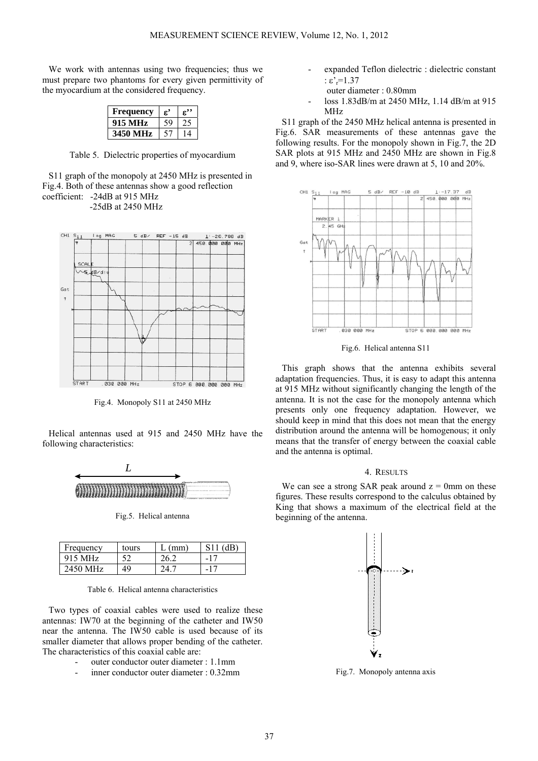We work with antennas using two frequencies; thus we must prepare two phantoms for every given permittivity of the myocardium at the considered frequency.

| Frequency | ε. | £′ |
|-----------|----|----|
| 915 MHz   |    |    |
| ИHz       |    |    |

Table 5. Dielectric properties of myocardium

S11 graph of the monopoly at 2450 MHz is presented in Fig.4. Both of these antennas show a good reflection coefficient: -24dB at 915 MHz -25dB at 2450 MHz



Fig.4. Monopoly S11 at 2450 MHz

Helical antennas used at 915 and 2450 MHz have the following characteristics:



Fig.5. Helical antenna

| Frequency | tours | $'$ mm $\cdot$            | ′4B).        |
|-----------|-------|---------------------------|--------------|
| 915 MHz   |       |                           | $-1^{\circ}$ |
| 2450 MHz  | 49    | $^{\prime}$ 1 $^{\prime}$ | $-17$        |

Table 6. Helical antenna characteristics

Two types of coaxial cables were used to realize these antennas: IW70 at the beginning of the catheter and IW50 near the antenna. The IW50 cable is used because of its smaller diameter that allows proper bending of the catheter. The characteristics of this coaxial cable are:

- outer conductor outer diameter : 1.1mm
- inner conductor outer diameter : 0.32mm
- expanded Teflon dielectric : dielectric constant :  $\epsilon$ '<sub>r</sub>=1.37
	- outer diameter : 0.80mm
- loss 1.83dB/m at 2450 MHz, 1.14 dB/m at 915 MHz

S11 graph of the 2450 MHz helical antenna is presented in Fig.6. SAR measurements of these antennas gave the following results. For the monopoly shown in Fig.7, the 2D SAR plots at 915 MHz and 2450 MHz are shown in Fig.8 and 9, where iso-SAR lines were drawn at 5, 10 and 20%.



Fig.6. Helical antenna S11

This graph shows that the antenna exhibits several adaptation frequencies. Thus, it is easy to adapt this antenna at 915 MHz without significantly changing the length of the antenna. It is not the case for the monopoly antenna which presents only one frequency adaptation. However, we should keep in mind that this does not mean that the energy distribution around the antenna will be homogenous; it only means that the transfer of energy between the coaxial cable and the antenna is optimal.

# 4. RESULTS

We can see a strong SAR peak around  $z = 0$ mm on these figures. These results correspond to the calculus obtained by King that shows a maximum of the electrical field at the beginning of the antenna.



Fig.7. Monopoly antenna axis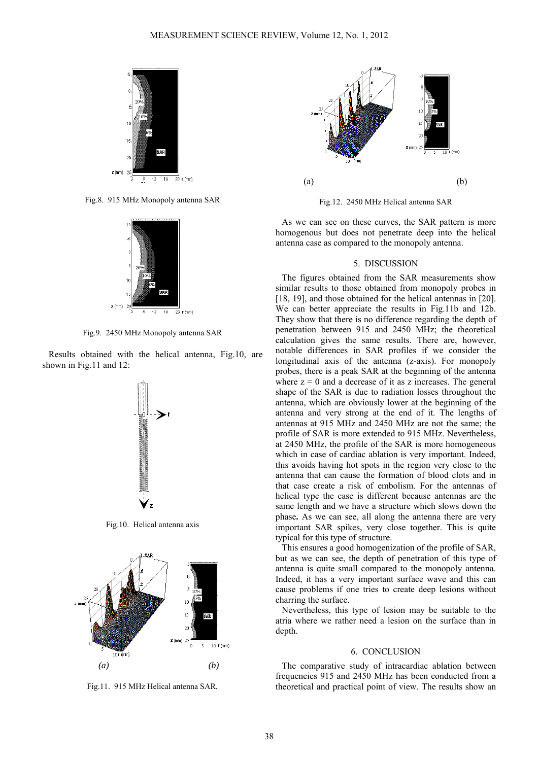

Fig.8. 915 MHz Monopoly antenna SAR



Fig.9. 2450 MHz Monopoly antenna SAR

Results obtained with the helical antenna, Fig.10, are shown in Fig.11 and 12:



Fig.10. Helical antenna axis



Fig.11. 915 MHz Helical antenna SAR*.* 



Fig.12. 2450 MHz Helical antenna SAR

As we can see on these curves, the SAR pattern is more homogenous but does not penetrate deep into the helical antenna case as compared to the monopoly antenna.

## 5. DISCUSSION

The figures obtained from the SAR measurements show similar results to those obtained from monopoly probes in [18, 19], and those obtained for the helical antennas in [20]. We can better appreciate the results in Fig.11b and 12b. They show that there is no difference regarding the depth of penetration between 915 and 2450 MHz; the theoretical calculation gives the same results. There are, however, notable differences in SAR profiles if we consider the longitudinal axis of the antenna (z-axis). For monopoly probes, there is a peak SAR at the beginning of the antenna where  $z = 0$  and a decrease of it as z increases. The general shape of the SAR is due to radiation losses throughout the antenna, which are obviously lower at the beginning of the antenna and very strong at the end of it. The lengths of antennas at 915 MHz and 2450 MHz are not the same; the profile of SAR is more extended to 915 MHz. Nevertheless, at 2450 MHz, the profile of the SAR is more homogeneous which in case of cardiac ablation is very important. Indeed, this avoids having hot spots in the region very close to the antenna that can cause the formation of blood clots and in that case create a risk of embolism. For the antennas of helical type the case is different because antennas are the same length and we have a structure which slows down the phase**.** As we can see, all along the antenna there are very important SAR spikes, very close together. This is quite typical for this type of structure.

This ensures a good homogenization of the profile of SAR, but as we can see, the depth of penetration of this type of antenna is quite small compared to the monopoly antenna. Indeed, it has a very important surface wave and this can cause problems if one tries to create deep lesions without charring the surface.

Nevertheless, this type of lesion may be suitable to the atria where we rather need a lesion on the surface than in depth.

#### 6. CONCLUSION

The comparative study of intracardiac ablation between frequencies 915 and 2450 MHz has been conducted from a theoretical and practical point of view. The results show an